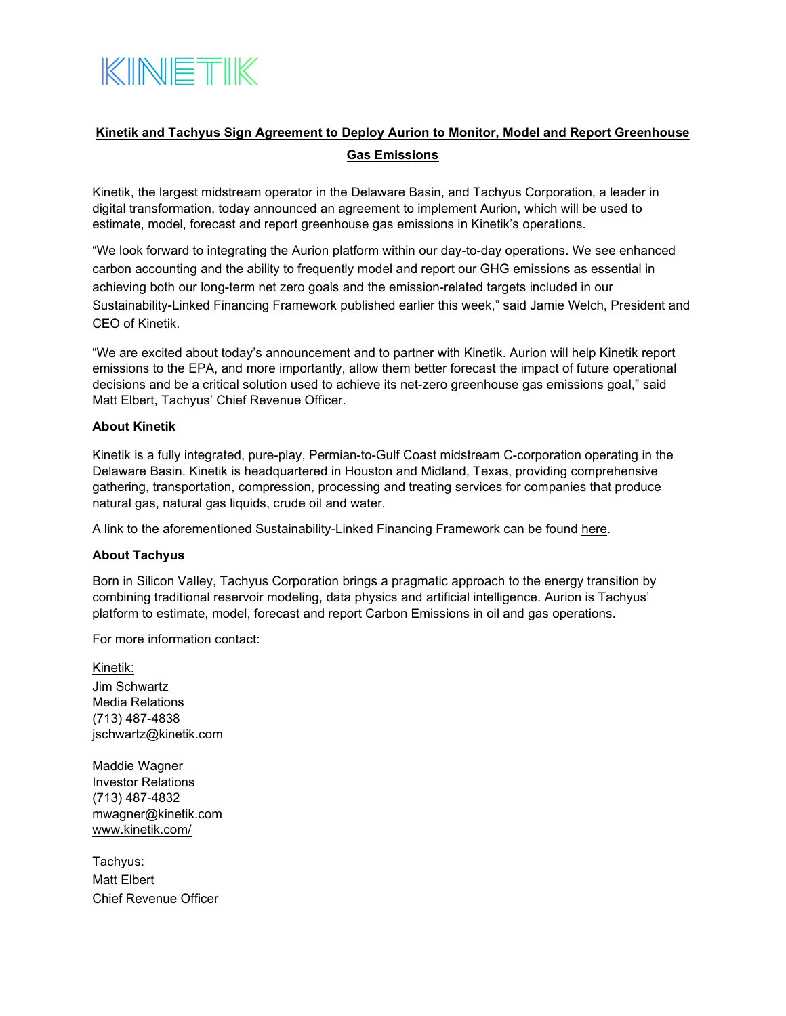

## **Kinetik and Tachyus Sign Agreement to Deploy Aurion to Monitor, Model and Report Greenhouse Gas Emissions**

Kinetik, the largest midstream operator in the Delaware Basin, and Tachyus Corporation, a leader in digital transformation, today announced an agreement to implement Aurion, which will be used to estimate, model, forecast and report greenhouse gas emissions in Kinetik's operations.

"We look forward to integrating the Aurion platform within our day-to-day operations. We see enhanced carbon accounting and the ability to frequently model and report our GHG emissions as essential in achieving both our long-term net zero goals and the emission-related targets included in our Sustainability-Linked Financing Framework published earlier this week," said Jamie Welch, President and CEO of Kinetik.

"We are excited about today's announcement and to partner with Kinetik. Aurion will help Kinetik report emissions to the EPA, and more importantly, allow them better forecast the impact of future operational decisions and be a critical solution used to achieve its net-zero greenhouse gas emissions goal," said Matt Elbert, Tachyus' Chief Revenue Officer.

## **About Kinetik**

Kinetik is a fully integrated, pure-play, Permian-to-Gulf Coast midstream C-corporation operating in the Delaware Basin. Kinetik is headquartered in Houston and Midland, Texas, providing comprehensive gathering, transportation, compression, processing and treating services for companies that produce natural gas, natural gas liquids, crude oil and water.

A link to the aforementioned Sustainability-Linked Financing Framework can be found [here.](https://www.kinetik.com/wp-content/uploads/2022/05/Kinetik-Sustainability-Linked-Financing-Framework-FINAL.pdf)

## **About Tachyus**

Born in Silicon Valley, Tachyus Corporation brings a pragmatic approach to the energy transition by combining traditional reservoir modeling, data physics and artificial intelligence. Aurion is Tachyus' platform to estimate, model, forecast and report Carbon Emissions in oil and gas operations.

For more information contact:

Kinetik: Jim Schwartz Media Relations (713) 487-4838 jschwartz@kinetik.com

Maddie Wagner Investor Relations (713) 487-4832 mwagner@kinetik.com [www.kinetik.com/](http://www.kinetik.com/)

Tachyus: Matt Elbert Chief Revenue Officer